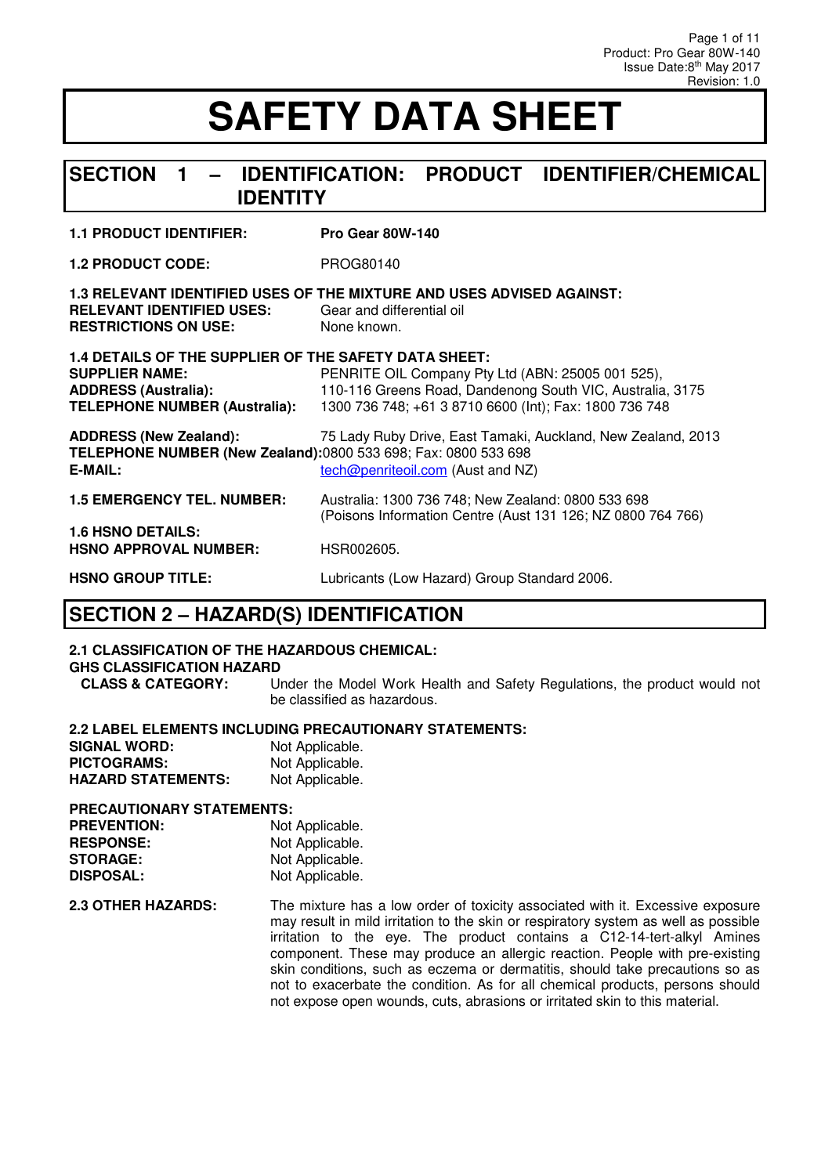### **SECTION 1 – IDENTIFICATION: PRODUCT IDENTIFIER/CHEMICAL IDENTITY**

#### **1.1 PRODUCT IDENTIFIER: Pro Gear 80W-140**

**1.2 PRODUCT CODE:** PROG80140

| <b>RELEVANT IDENTIFIED USES:</b><br><b>RESTRICTIONS ON USE:</b> | 1.3 RELEVANT IDENTIFIED USES OF THE MIXTURE AND USES ADVISED AGAINST:<br>Gear and differential oil<br>None known. |
|-----------------------------------------------------------------|-------------------------------------------------------------------------------------------------------------------|
| 1.4 DETAILS OF THE SUPPLIER OF THE SAFETY DATA SHEET:           |                                                                                                                   |

| <b>SUPPLIER NAME:</b><br><b>ADDRESS (Australia):</b><br><b>TELEPHONE NUMBER (Australia):</b>               | PENRITE OIL Company Pty Ltd (ABN: 25005 001 525),<br>110-116 Greens Road, Dandenong South VIC, Australia, 3175<br>1300 736 748; +61 3 8710 6600 (Int); Fax: 1800 736 748 |
|------------------------------------------------------------------------------------------------------------|--------------------------------------------------------------------------------------------------------------------------------------------------------------------------|
| <b>ADDRESS (New Zealand):</b><br>TELEPHONE NUMBER (New Zealand):0800 533 698; Fax: 0800 533 698<br>E-MAIL: | 75 Lady Ruby Drive, East Tamaki, Auckland, New Zealand, 2013<br>tech@penriteoil.com (Aust and NZ)                                                                        |
| <b>1.5 EMERGENCY TEL. NUMBER:</b>                                                                          | Australia: 1300 736 748; New Zealand: 0800 533 698<br>(Poisons Information Centre (Aust 131 126; NZ 0800 764 766)                                                        |
| <b>1.6 HSNO DETAILS:</b><br><b>HSNO APPROVAL NUMBER:</b>                                                   | HSR002605.                                                                                                                                                               |

#### **HSNO GROUP TITLE:** Lubricants (Low Hazard) Group Standard 2006.

### **SECTION 2 – HAZARD(S) IDENTIFICATION**

#### **2.1 CLASSIFICATION OF THE HAZARDOUS CHEMICAL:**

**GHS CLASSIFICATION HAZARD<br>CLASS & CATEGORY:** 

Under the Model Work Health and Safety Regulations, the product would not be classified as hazardous.

#### **2.2 LABEL ELEMENTS INCLUDING PRECAUTIONARY STATEMENTS:**

| <b>SIGNAL WORD:</b>       | Not Applicable. |
|---------------------------|-----------------|
| <b>PICTOGRAMS:</b>        | Not Applicable. |
| <b>HAZARD STATEMENTS:</b> | Not Applicable. |

#### **PRECAUTIONARY STATEMENTS:**

| <b>PREVENTION:</b> | Not Applicable. |
|--------------------|-----------------|
| <b>RESPONSE:</b>   | Not Applicable. |
| <b>STORAGE:</b>    | Not Applicable. |
| <b>DISPOSAL:</b>   | Not Applicable. |

**2.3 OTHER HAZARDS:** The mixture has a low order of toxicity associated with it. Excessive exposure may result in mild irritation to the skin or respiratory system as well as possible irritation to the eye. The product contains a C12-14-tert-alkyl Amines component. These may produce an allergic reaction. People with pre-existing skin conditions, such as eczema or dermatitis, should take precautions so as not to exacerbate the condition. As for all chemical products, persons should not expose open wounds, cuts, abrasions or irritated skin to this material.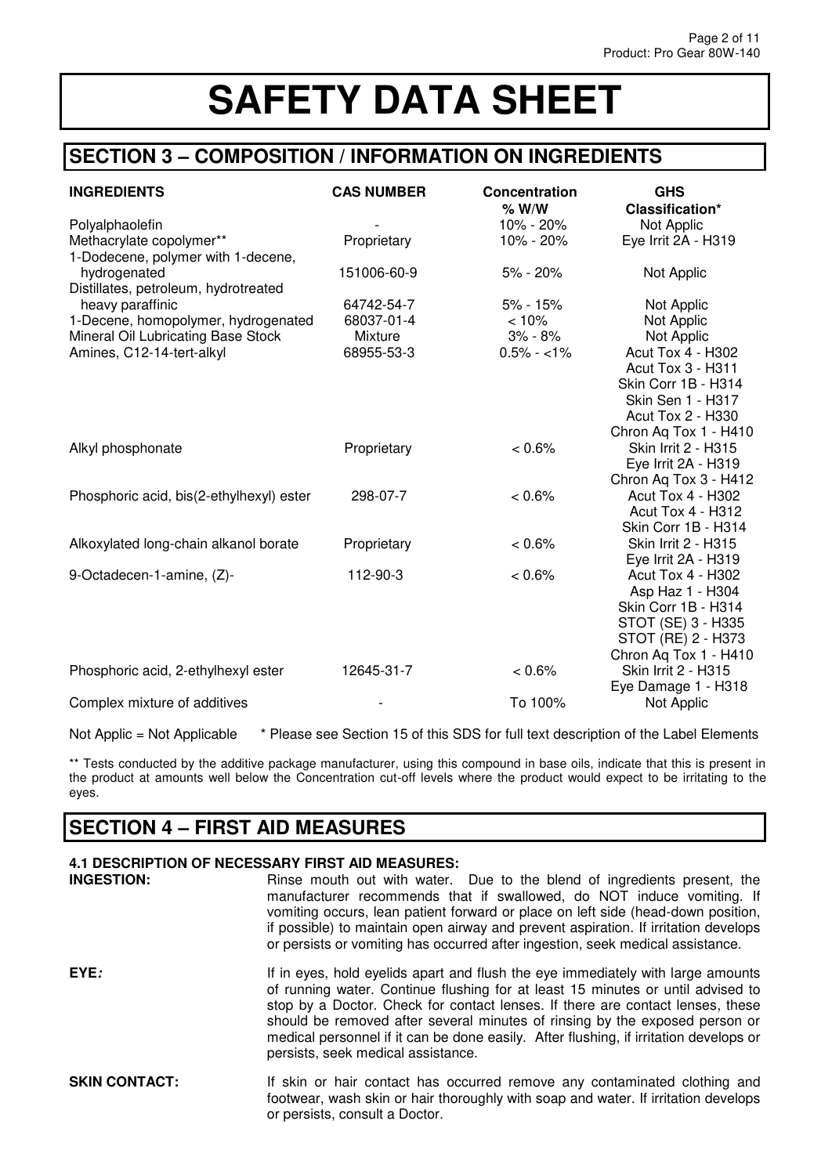## **SECTION 3 – COMPOSITION / INFORMATION ON INGREDIENTS**

| <b>INGREDIENTS</b>                       | <b>CAS NUMBER</b> | Concentration<br>$%$ W/W | <b>GHS</b><br>Classification* |
|------------------------------------------|-------------------|--------------------------|-------------------------------|
| Polyalphaolefin                          |                   | 10% - 20%                | Not Applic                    |
| Methacrylate copolymer**                 | Proprietary       | 10% - 20%                | Eye Irrit 2A - H319           |
| 1-Dodecene, polymer with 1-decene,       |                   |                          |                               |
| hydrogenated                             | 151006-60-9       | 5% - 20%                 | Not Applic                    |
| Distillates, petroleum, hydrotreated     |                   |                          |                               |
| heavy paraffinic                         | 64742-54-7        | $5% - 15%$               | Not Applic                    |
| 1-Decene, homopolymer, hydrogenated      | 68037-01-4        | < 10%                    | Not Applic                    |
| Mineral Oil Lubricating Base Stock       | Mixture           | 3% - 8%                  | Not Applic                    |
| Amines, C12-14-tert-alkyl                | 68955-53-3        | $0.5\% - <1\%$           | Acut Tox 4 - H302             |
|                                          |                   |                          | <b>Acut Tox 3 - H311</b>      |
|                                          |                   |                          | Skin Corr 1B - H314           |
|                                          |                   |                          | <b>Skin Sen 1 - H317</b>      |
|                                          |                   |                          | <b>Acut Tox 2 - H330</b>      |
|                                          |                   |                          | Chron Aq Tox 1 - H410         |
| Alkyl phosphonate                        | Proprietary       | $< 0.6\%$                | <b>Skin Irrit 2 - H315</b>    |
|                                          |                   |                          | Eye Irrit 2A - H319           |
|                                          |                   |                          | Chron Aq Tox 3 - H412         |
| Phosphoric acid, bis(2-ethylhexyl) ester | 298-07-7          | $< 0.6\%$                | <b>Acut Tox 4 - H302</b>      |
|                                          |                   |                          | <b>Acut Tox 4 - H312</b>      |
|                                          |                   |                          | Skin Corr 1B - H314           |
| Alkoxylated long-chain alkanol borate    | Proprietary       | $< 0.6\%$                | <b>Skin Irrit 2 - H315</b>    |
|                                          |                   |                          | Eye Irrit 2A - H319           |
| 9-Octadecen-1-amine, (Z)-                | 112-90-3          | $< 0.6\%$                | <b>Acut Tox 4 - H302</b>      |
|                                          |                   |                          | Asp Haz 1 - H304              |
|                                          |                   |                          | Skin Corr 1B - H314           |
|                                          |                   |                          | STOT (SE) 3 - H335            |
|                                          |                   |                          | STOT (RE) 2 - H373            |
|                                          |                   |                          | Chron Aq Tox 1 - H410         |
| Phosphoric acid, 2-ethylhexyl ester      | 12645-31-7        | < 0.6%                   | Skin Irrit 2 - H315           |
|                                          |                   |                          | Eye Damage 1 - H318           |
| Complex mixture of additives             |                   | To 100%                  | Not Applic                    |

Not Applic = Not Applicable \* Please see Section 15 of this SDS for full text description of the Label Elements

\*\* Tests conducted by the additive package manufacturer, using this compound in base oils, indicate that this is present in the product at amounts well below the Concentration cut-off levels where the product would expect to be irritating to the eyes.

### **SECTION 4 – FIRST AID MEASURES**

| 4.1 DESCRIPTION OF NECESSARY FIRST AID MEASURES: |                                                                                                                                                                                                                                                                                                                                                                                                                                                                    |  |
|--------------------------------------------------|--------------------------------------------------------------------------------------------------------------------------------------------------------------------------------------------------------------------------------------------------------------------------------------------------------------------------------------------------------------------------------------------------------------------------------------------------------------------|--|
| <b>INGESTION:</b>                                | Rinse mouth out with water. Due to the blend of ingredients present, the<br>manufacturer recommends that if swallowed, do NOT induce vomiting. If<br>vomiting occurs, lean patient forward or place on left side (head-down position,<br>if possible) to maintain open airway and prevent aspiration. If irritation develops<br>or persists or vomiting has occurred after ingestion, seek medical assistance.                                                     |  |
| EYE:                                             | If in eyes, hold eyelids apart and flush the eye immediately with large amounts<br>of running water. Continue flushing for at least 15 minutes or until advised to<br>stop by a Doctor. Check for contact lenses. If there are contact lenses, these<br>should be removed after several minutes of rinsing by the exposed person or<br>medical personnel if it can be done easily. After flushing, if irritation develops or<br>persists, seek medical assistance. |  |
| <b>SKIN CONTACT:</b>                             | If skin or hair contact has occurred remove any contaminated clothing and<br>footwear, wash skin or hair thoroughly with soap and water. If irritation develops<br>or persists, consult a Doctor.                                                                                                                                                                                                                                                                  |  |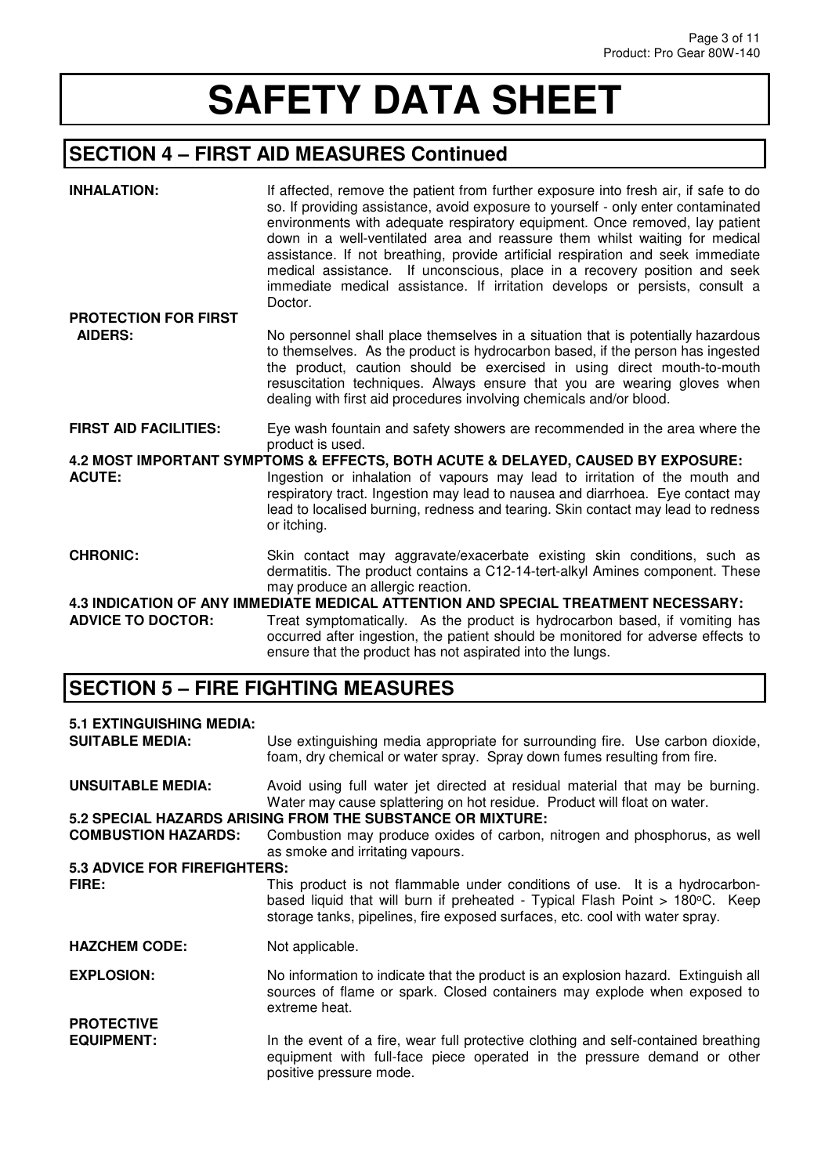# **SECTION 4 – FIRST AID MEASURES Continued**

| <b>INHALATION:</b>                            | If affected, remove the patient from further exposure into fresh air, if safe to do<br>so. If providing assistance, avoid exposure to yourself - only enter contaminated<br>environments with adequate respiratory equipment. Once removed, lay patient<br>down in a well-ventilated area and reassure them whilst waiting for medical<br>assistance. If not breathing, provide artificial respiration and seek immediate<br>medical assistance. If unconscious, place in a recovery position and seek<br>immediate medical assistance. If irritation develops or persists, consult a<br>Doctor. |
|-----------------------------------------------|--------------------------------------------------------------------------------------------------------------------------------------------------------------------------------------------------------------------------------------------------------------------------------------------------------------------------------------------------------------------------------------------------------------------------------------------------------------------------------------------------------------------------------------------------------------------------------------------------|
| <b>PROTECTION FOR FIRST</b><br><b>AIDERS:</b> | No personnel shall place themselves in a situation that is potentially hazardous<br>to themselves. As the product is hydrocarbon based, if the person has ingested<br>the product, caution should be exercised in using direct mouth-to-mouth<br>resuscitation techniques. Always ensure that you are wearing gloves when<br>dealing with first aid procedures involving chemicals and/or blood.                                                                                                                                                                                                 |
| <b>FIRST AID FACILITIES:</b>                  | Eye wash fountain and safety showers are recommended in the area where the<br>product is used.                                                                                                                                                                                                                                                                                                                                                                                                                                                                                                   |
| <b>ACUTE:</b>                                 | 4.2 MOST IMPORTANT SYMPTOMS & EFFECTS, BOTH ACUTE & DELAYED, CAUSED BY EXPOSURE:<br>Ingestion or inhalation of vapours may lead to irritation of the mouth and<br>respiratory tract. Ingestion may lead to nausea and diarrhoea. Eye contact may<br>lead to localised burning, redness and tearing. Skin contact may lead to redness<br>or itching.                                                                                                                                                                                                                                              |
| <b>CHRONIC:</b>                               | Skin contact may aggravate/exacerbate existing skin conditions, such as<br>dermatitis. The product contains a C12-14-tert-alkyl Amines component. These<br>may produce an allergic reaction.                                                                                                                                                                                                                                                                                                                                                                                                     |
| <b>ADVICE TO DOCTOR:</b>                      | 4.3 INDICATION OF ANY IMMEDIATE MEDICAL ATTENTION AND SPECIAL TREATMENT NECESSARY:<br>Treat symptomatically. As the product is hydrocarbon based, if vomiting has<br>occurred after ingestion, the patient should be monitored for adverse effects to<br>ensure that the product has not aspirated into the lungs.                                                                                                                                                                                                                                                                               |

# **SECTION 5 – FIRE FIGHTING MEASURES**

| <b>5.1 EXTINGUISHING MEDIA:</b><br><b>SUITABLE MEDIA:</b> | Use extinguishing media appropriate for surrounding fire. Use carbon dioxide,<br>foam, dry chemical or water spray. Spray down fumes resulting from fire.                                                                                   |  |
|-----------------------------------------------------------|---------------------------------------------------------------------------------------------------------------------------------------------------------------------------------------------------------------------------------------------|--|
| <b>UNSUITABLE MEDIA:</b>                                  | Avoid using full water jet directed at residual material that may be burning.<br>Water may cause splattering on hot residue. Product will float on water.                                                                                   |  |
|                                                           | 5.2 SPECIAL HAZARDS ARISING FROM THE SUBSTANCE OR MIXTURE:                                                                                                                                                                                  |  |
| <b>COMBUSTION HAZARDS:</b>                                | Combustion may produce oxides of carbon, nitrogen and phosphorus, as well<br>as smoke and irritating vapours.                                                                                                                               |  |
| <b>5.3 ADVICE FOR FIREFIGHTERS:</b>                       |                                                                                                                                                                                                                                             |  |
| FIRE:                                                     | This product is not flammable under conditions of use. It is a hydrocarbon-<br>based liquid that will burn if preheated - Typical Flash Point > 180°C. Keep<br>storage tanks, pipelines, fire exposed surfaces, etc. cool with water spray. |  |
| <b>HAZCHEM CODE:</b>                                      | Not applicable.                                                                                                                                                                                                                             |  |
| <b>EXPLOSION:</b>                                         | No information to indicate that the product is an explosion hazard. Extinguish all<br>sources of flame or spark. Closed containers may explode when exposed to<br>extreme heat.                                                             |  |
| <b>PROTECTIVE</b><br><b>EQUIPMENT:</b>                    | In the event of a fire, wear full protective clothing and self-contained breathing<br>equipment with full-face piece operated in the pressure demand or other<br>positive pressure mode.                                                    |  |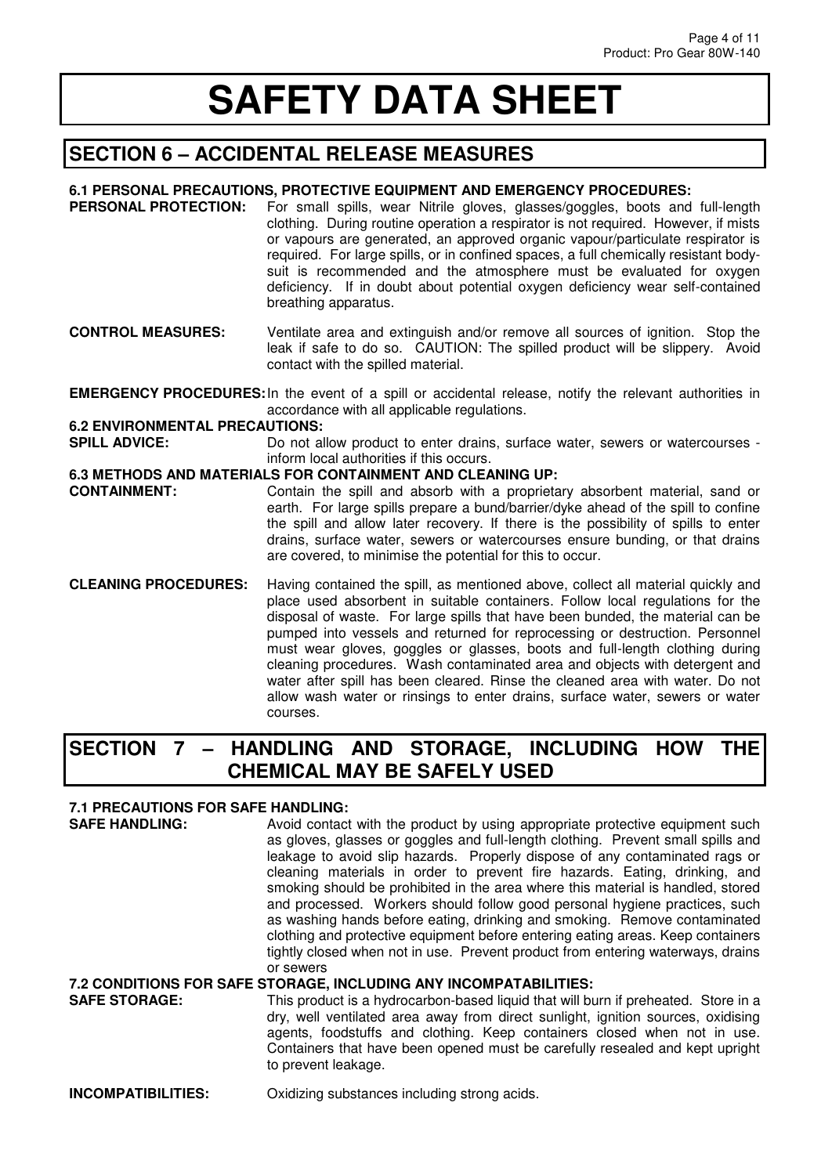## **SECTION 6 – ACCIDENTAL RELEASE MEASURES**

#### **6.1 PERSONAL PRECAUTIONS, PROTECTIVE EQUIPMENT AND EMERGENCY PROCEDURES:**

- **PERSONAL PROTECTION:** For small spills, wear Nitrile gloves, glasses/goggles, boots and full-length clothing. During routine operation a respirator is not required. However, if mists or vapours are generated, an approved organic vapour/particulate respirator is required. For large spills, or in confined spaces, a full chemically resistant bodysuit is recommended and the atmosphere must be evaluated for oxygen deficiency. If in doubt about potential oxygen deficiency wear self-contained breathing apparatus.
- **CONTROL MEASURES:** Ventilate area and extinguish and/or remove all sources of ignition. Stop the leak if safe to do so. CAUTION: The spilled product will be slippery. Avoid contact with the spilled material.

**EMERGENCY PROCEDURES:** In the event of a spill or accidental release, notify the relevant authorities in accordance with all applicable regulations.

#### **6.2 ENVIRONMENTAL PRECAUTIONS:**

**SPILL ADVICE:** Do not allow product to enter drains, surface water, sewers or watercourses inform local authorities if this occurs.

#### **6.3 METHODS AND MATERIALS FOR CONTAINMENT AND CLEANING UP:**

- **CONTAINMENT:** Contain the spill and absorb with a proprietary absorbent material, sand or earth. For large spills prepare a bund/barrier/dyke ahead of the spill to confine the spill and allow later recovery. If there is the possibility of spills to enter drains, surface water, sewers or watercourses ensure bunding, or that drains are covered, to minimise the potential for this to occur.
- **CLEANING PROCEDURES:** Having contained the spill, as mentioned above, collect all material quickly and place used absorbent in suitable containers. Follow local regulations for the disposal of waste. For large spills that have been bunded, the material can be pumped into vessels and returned for reprocessing or destruction. Personnel must wear gloves, goggles or glasses, boots and full-length clothing during cleaning procedures. Wash contaminated area and objects with detergent and water after spill has been cleared. Rinse the cleaned area with water. Do not allow wash water or rinsings to enter drains, surface water, sewers or water courses.

### **SECTION 7 – HANDLING AND STORAGE, INCLUDING HOW THE CHEMICAL MAY BE SAFELY USED**

# **7.1 PRECAUTIONS FOR SAFE HANDLING:**

Avoid contact with the product by using appropriate protective equipment such as gloves, glasses or goggles and full-length clothing. Prevent small spills and leakage to avoid slip hazards. Properly dispose of any contaminated rags or cleaning materials in order to prevent fire hazards. Eating, drinking, and smoking should be prohibited in the area where this material is handled, stored and processed. Workers should follow good personal hygiene practices, such as washing hands before eating, drinking and smoking. Remove contaminated clothing and protective equipment before entering eating areas. Keep containers tightly closed when not in use. Prevent product from entering waterways, drains or sewers

# **7.2 CONDITIONS FOR SAFE STORAGE, INCLUDING ANY INCOMPATABILITIES:**

This product is a hydrocarbon-based liquid that will burn if preheated. Store in a dry, well ventilated area away from direct sunlight, ignition sources, oxidising agents, foodstuffs and clothing. Keep containers closed when not in use. Containers that have been opened must be carefully resealed and kept upright to prevent leakage.

**INCOMPATIBILITIES:** Oxidizing substances including strong acids.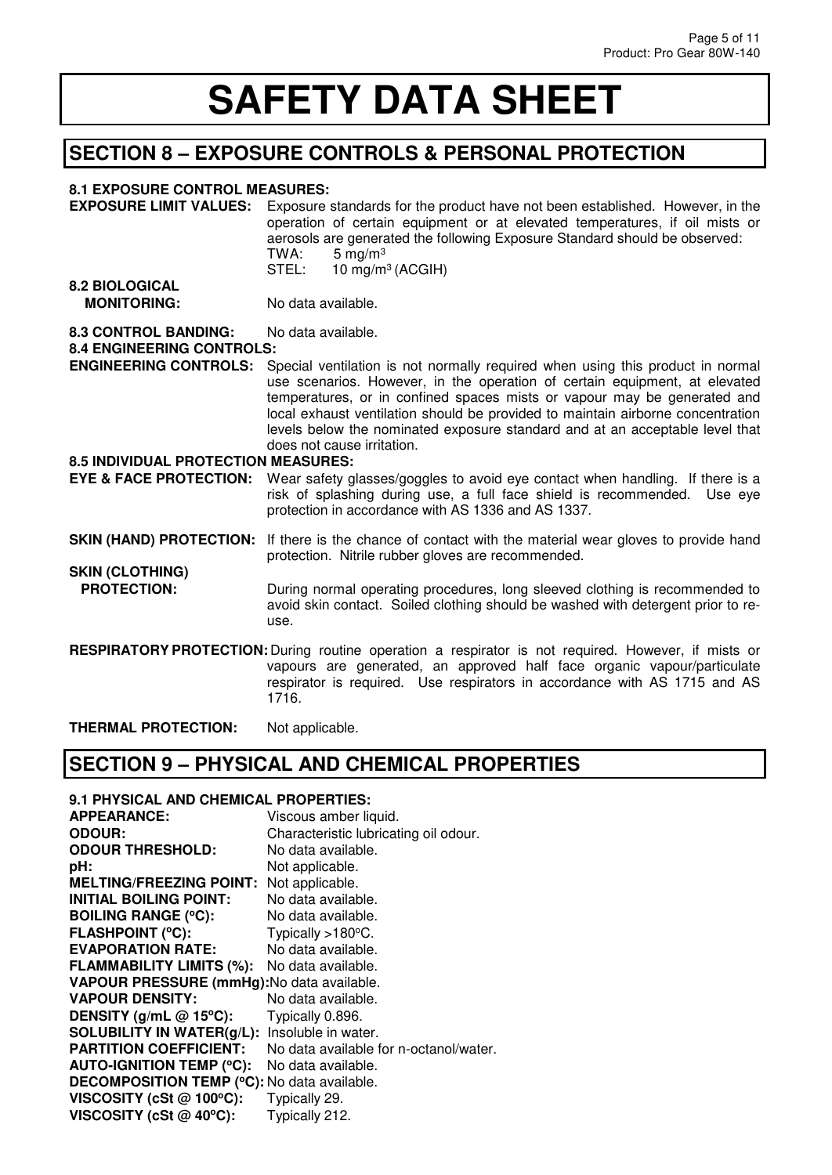# **SECTION 8 – EXPOSURE CONTROLS & PERSONAL PROTECTION**

#### **8.1 EXPOSURE CONTROL MEASURES:**

| 0. I EAI OUUILE UUITIIUE M                                                 |                                                                                                                                                                                                                                                                                                                                                                                                                                           |
|----------------------------------------------------------------------------|-------------------------------------------------------------------------------------------------------------------------------------------------------------------------------------------------------------------------------------------------------------------------------------------------------------------------------------------------------------------------------------------------------------------------------------------|
| <b>EXPOSURE LIMIT VALUES:</b>                                              | Exposure standards for the product have not been established. However, in the<br>operation of certain equipment or at elevated temperatures, if oil mists or<br>aerosols are generated the following Exposure Standard should be observed:<br>5 mg/m $3$<br>TWA:<br>10 mg/m <sup>3</sup> (ACGIH)<br>STEL:                                                                                                                                 |
| <b>8.2 BIOLOGICAL</b><br><b>MONITORING:</b>                                | No data available.                                                                                                                                                                                                                                                                                                                                                                                                                        |
| <b>8.3 CONTROL BANDING:</b><br><b>8.4 ENGINEERING CONTROLS:</b>            | No data available.                                                                                                                                                                                                                                                                                                                                                                                                                        |
| <b>ENGINEERING CONTROLS:</b><br><b>8.5 INDIVIDUAL PROTECTION MEASURES:</b> | Special ventilation is not normally required when using this product in normal<br>use scenarios. However, in the operation of certain equipment, at elevated<br>temperatures, or in confined spaces mists or vapour may be generated and<br>local exhaust ventilation should be provided to maintain airborne concentration<br>levels below the nominated exposure standard and at an acceptable level that<br>does not cause irritation. |
| <b>EYE &amp; FACE PROTECTION:</b>                                          | Wear safety glasses/goggles to avoid eye contact when handling. If there is a<br>risk of splashing during use, a full face shield is recommended. Use eye<br>protection in accordance with AS 1336 and AS 1337.                                                                                                                                                                                                                           |
| <b>SKIN (HAND) PROTECTION:</b><br><b>SKIN (CLOTHING)</b>                   | If there is the chance of contact with the material wear gloves to provide hand<br>protection. Nitrile rubber gloves are recommended.                                                                                                                                                                                                                                                                                                     |
| <b>PROTECTION:</b>                                                         | During normal operating procedures, long sleeved clothing is recommended to<br>avoid skin contact. Soiled clothing should be washed with detergent prior to re-<br>use.                                                                                                                                                                                                                                                                   |
|                                                                            | <b>RESPIRATORY PROTECTION:</b> During routine operation a respirator is not required. However, if mists or<br>vapours are generated, an approved half face organic vapour/particulate<br>respirator is required. Use respirators in accordance with AS 1715 and AS<br>1716.                                                                                                                                                               |

**THERMAL PROTECTION:** Not applicable.

# **SECTION 9 – PHYSICAL AND CHEMICAL PROPERTIES**

#### **9.1 PHYSICAL AND CHEMICAL PROPERTIES:**

| <b>APPEARANCE:</b>                                 | Viscous amber liquid.                  |
|----------------------------------------------------|----------------------------------------|
| <b>ODOUR:</b>                                      | Characteristic lubricating oil odour.  |
| <b>ODOUR THRESHOLD:</b>                            | No data available.                     |
| pH:                                                | Not applicable.                        |
| <b>MELTING/FREEZING POINT:</b>                     | Not applicable.                        |
| INITIAL BOILING POINT:                             | No data available.                     |
| <b>BOILING RANGE (°C):</b>                         | No data available.                     |
| <b>FLASHPOINT (°C):</b>                            | Typically $>180^{\circ}$ C.            |
| <b>EVAPORATION RATE:</b>                           | No data available.                     |
| <b>FLAMMABILITY LIMITS (%):</b>                    | No data available.                     |
| VAPOUR PRESSURE (mmHg): No data available.         |                                        |
| <b>VAPOUR DENSITY:</b>                             | No data available.                     |
| DENSITY (g/mL $@$ 15°C):                           | Typically 0.896.                       |
| <b>SOLUBILITY IN WATER(g/L):</b>                   | Insoluble in water.                    |
| <b>PARTITION COEFFICIENT:</b>                      | No data available for n-octanol/water. |
| <b>AUTO-IGNITION TEMP (°C):</b>                    | No data available.                     |
| <b>DECOMPOSITION TEMP (°C):</b> No data available. |                                        |
| VISCOSITY (cSt @ 100°C):                           | Typically 29.                          |
| VISCOSITY (cSt $@$ 40°C):                          | Typically 212.                         |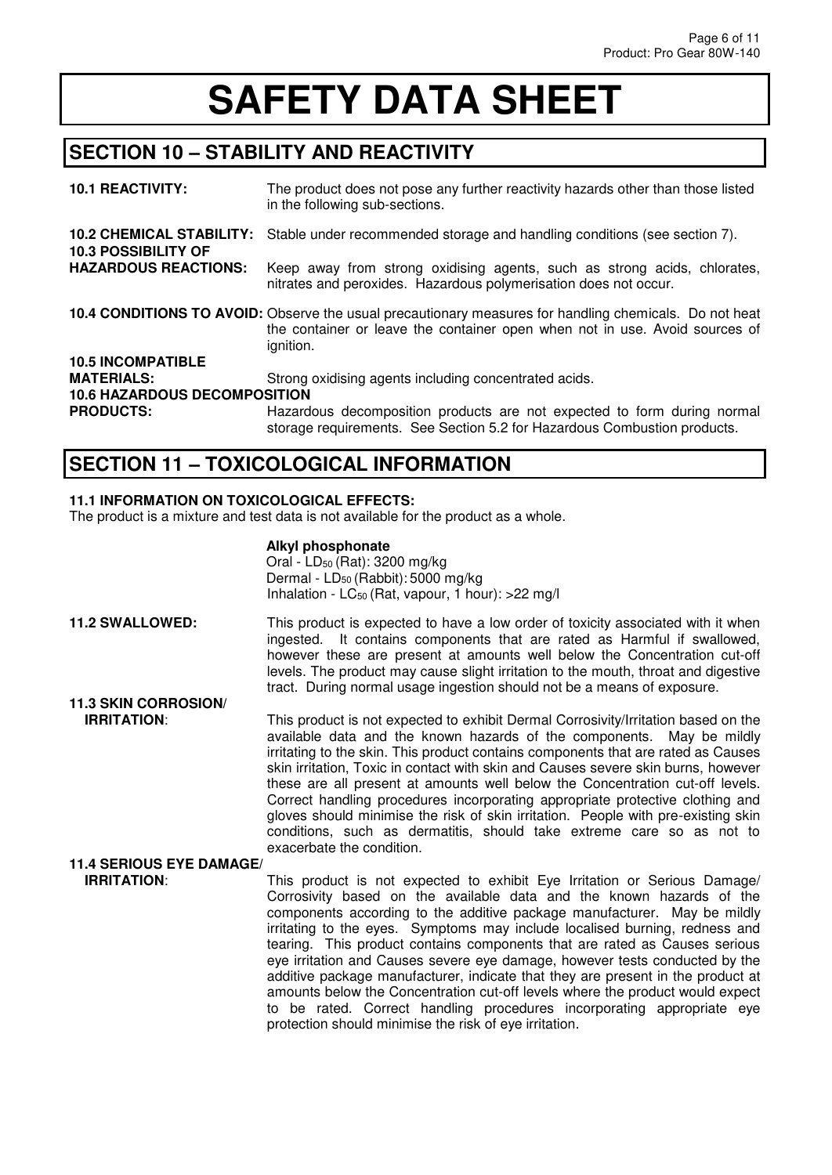# **SECTION 10 – STABILITY AND REACTIVITY**

| <b>10.1 REACTIVITY:</b>                                       | The product does not pose any further reactivity hazards other than those listed<br>in the following sub-sections.                                                                                 |
|---------------------------------------------------------------|----------------------------------------------------------------------------------------------------------------------------------------------------------------------------------------------------|
| <b>10.2 CHEMICAL STABILITY:</b><br><b>10.3 POSSIBILITY OF</b> | Stable under recommended storage and handling conditions (see section 7).                                                                                                                          |
| <b>HAZARDOUS REACTIONS:</b>                                   | Keep away from strong oxidising agents, such as strong acids, chlorates,<br>nitrates and peroxides. Hazardous polymerisation does not occur.                                                       |
|                                                               | 10.4 CONDITIONS TO AVOID: Observe the usual precautionary measures for handling chemicals. Do not heat<br>the container or leave the container open when not in use. Avoid sources of<br>ignition. |
| <b>10.5 INCOMPATIBLE</b>                                      |                                                                                                                                                                                                    |
| <b>MATERIALS:</b>                                             | Strong oxidising agents including concentrated acids.                                                                                                                                              |
| <b>10.6 HAZARDOUS DECOMPOSITION</b>                           |                                                                                                                                                                                                    |
| <b>PRODUCTS:</b>                                              | Hazardous decomposition products are not expected to form during normal<br>storage requirements. See Section 5.2 for Hazardous Combustion products.                                                |

## **SECTION 11 – TOXICOLOGICAL INFORMATION**

#### **11.1 INFORMATION ON TOXICOLOGICAL EFFECTS:**

The product is a mixture and test data is not available for the product as a whole.

#### **Alkyl phosphonate**

Oral - LD<sub>50</sub> (Rat): 3200 mg/kg Dermal -  $LD_{50}$  (Rabbit): 5000 mg/kg Inhalation - LC<sub>50</sub> (Rat, vapour, 1 hour): >22 mg/l

**11.2 SWALLOWED:** This product is expected to have a low order of toxicity associated with it when ingested. It contains components that are rated as Harmful if swallowed, however these are present at amounts well below the Concentration cut-off levels. The product may cause slight irritation to the mouth, throat and digestive tract. During normal usage ingestion should not be a means of exposure. **11.3 SKIN CORROSION/**

**IRRITATION:** This product is not expected to exhibit Dermal Corrosivity/Irritation based on the available data and the known hazards of the components. May be mildly irritating to the skin. This product contains components that are rated as Causes skin irritation, Toxic in contact with skin and Causes severe skin burns, however these are all present at amounts well below the Concentration cut-off levels. Correct handling procedures incorporating appropriate protective clothing and gloves should minimise the risk of skin irritation. People with pre-existing skin conditions, such as dermatitis, should take extreme care so as not to exacerbate the condition.

# **11.4 SERIOUS EYE DAMAGE/**

This product is not expected to exhibit Eye Irritation or Serious Damage/ Corrosivity based on the available data and the known hazards of the components according to the additive package manufacturer. May be mildly irritating to the eyes. Symptoms may include localised burning, redness and tearing. This product contains components that are rated as Causes serious eye irritation and Causes severe eye damage, however tests conducted by the additive package manufacturer, indicate that they are present in the product at amounts below the Concentration cut-off levels where the product would expect to be rated. Correct handling procedures incorporating appropriate eye protection should minimise the risk of eye irritation.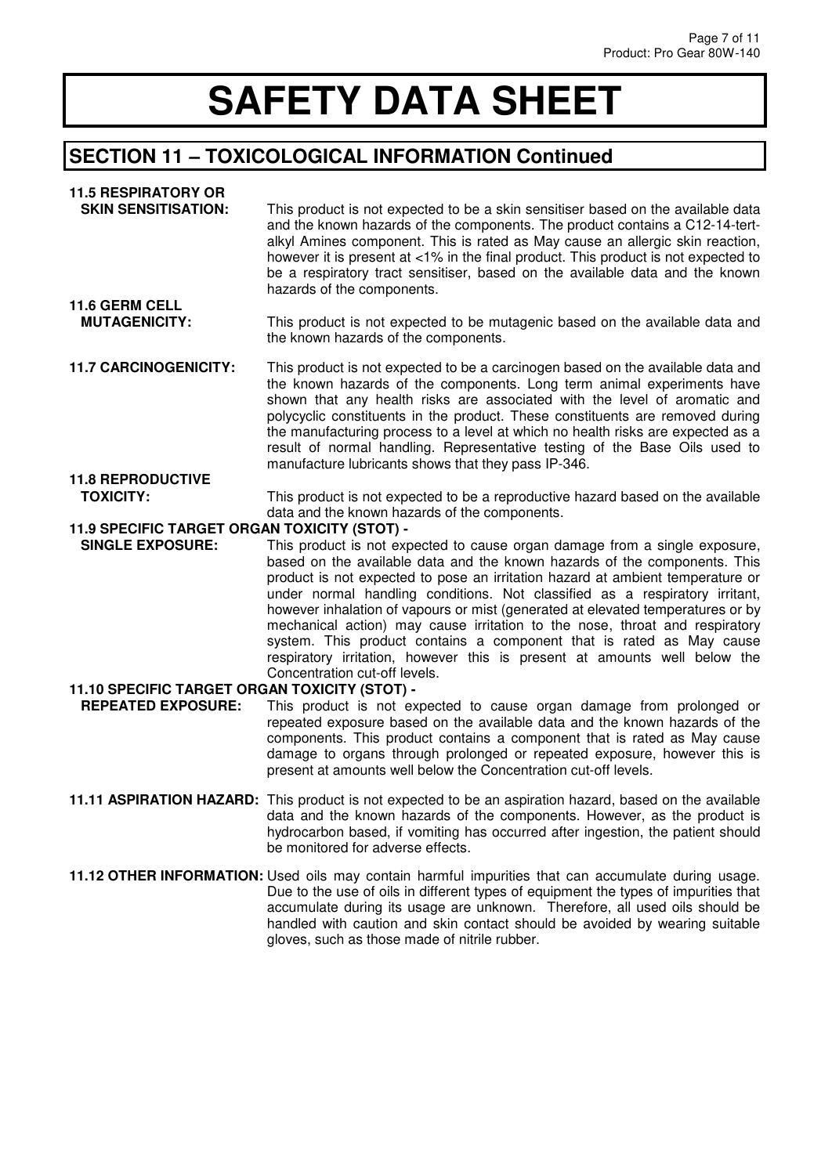## **SECTION 11 – TOXICOLOGICAL INFORMATION Continued**

#### **11.5 RESPIRATORY OR**

| <b>SKIN SENSITISATION:</b> | This product is not expected to be a skin sensitiser based on the available data<br>and the known hazards of the components. The product contains a C12-14-tert-   |
|----------------------------|--------------------------------------------------------------------------------------------------------------------------------------------------------------------|
|                            | alkyl Amines component. This is rated as May cause an allergic skin reaction,                                                                                      |
|                            | however it is present at <1% in the final product. This product is not expected to<br>be a respiratory tract sensitiser, based on the available data and the known |
|                            | hazards of the components.                                                                                                                                         |
| <b>11.6 GERM CELL</b>      |                                                                                                                                                                    |

#### **MUTAGENICITY:** This product is not expected to be mutagenic based on the available data and the known hazards of the components.

**11.7 CARCINOGENICITY:** This product is not expected to be a carcinogen based on the available data and the known hazards of the components. Long term animal experiments have shown that any health risks are associated with the level of aromatic and polycyclic constituents in the product. These constituents are removed during the manufacturing process to a level at which no health risks are expected as a result of normal handling. Representative testing of the Base Oils used to manufacture lubricants shows that they pass IP-346.

#### **11.8 REPRODUCTIVE**  This product is not expected to be a reproductive hazard based on the available data and the known hazards of the components.

#### **11.9 SPECIFIC TARGET ORGAN TOXICITY (STOT) -**

 **SINGLE EXPOSURE:** This product is not expected to cause organ damage from a single exposure, based on the available data and the known hazards of the components. This product is not expected to pose an irritation hazard at ambient temperature or under normal handling conditions. Not classified as a respiratory irritant, however inhalation of vapours or mist (generated at elevated temperatures or by mechanical action) may cause irritation to the nose, throat and respiratory system. This product contains a component that is rated as May cause respiratory irritation, however this is present at amounts well below the Concentration cut-off levels.

#### **11.10 SPECIFIC TARGET ORGAN TOXICITY (STOT) -**

- **REPEATED EXPOSURE:** This product is not expected to cause organ damage from prolonged or repeated exposure based on the available data and the known hazards of the components. This product contains a component that is rated as May cause damage to organs through prolonged or repeated exposure, however this is present at amounts well below the Concentration cut-off levels.
- **11.11 ASPIRATION HAZARD:** This product is not expected to be an aspiration hazard, based on the available data and the known hazards of the components. However, as the product is hydrocarbon based, if vomiting has occurred after ingestion, the patient should be monitored for adverse effects.
- **11.12 OTHER INFORMATION:** Used oils may contain harmful impurities that can accumulate during usage. Due to the use of oils in different types of equipment the types of impurities that accumulate during its usage are unknown. Therefore, all used oils should be handled with caution and skin contact should be avoided by wearing suitable gloves, such as those made of nitrile rubber.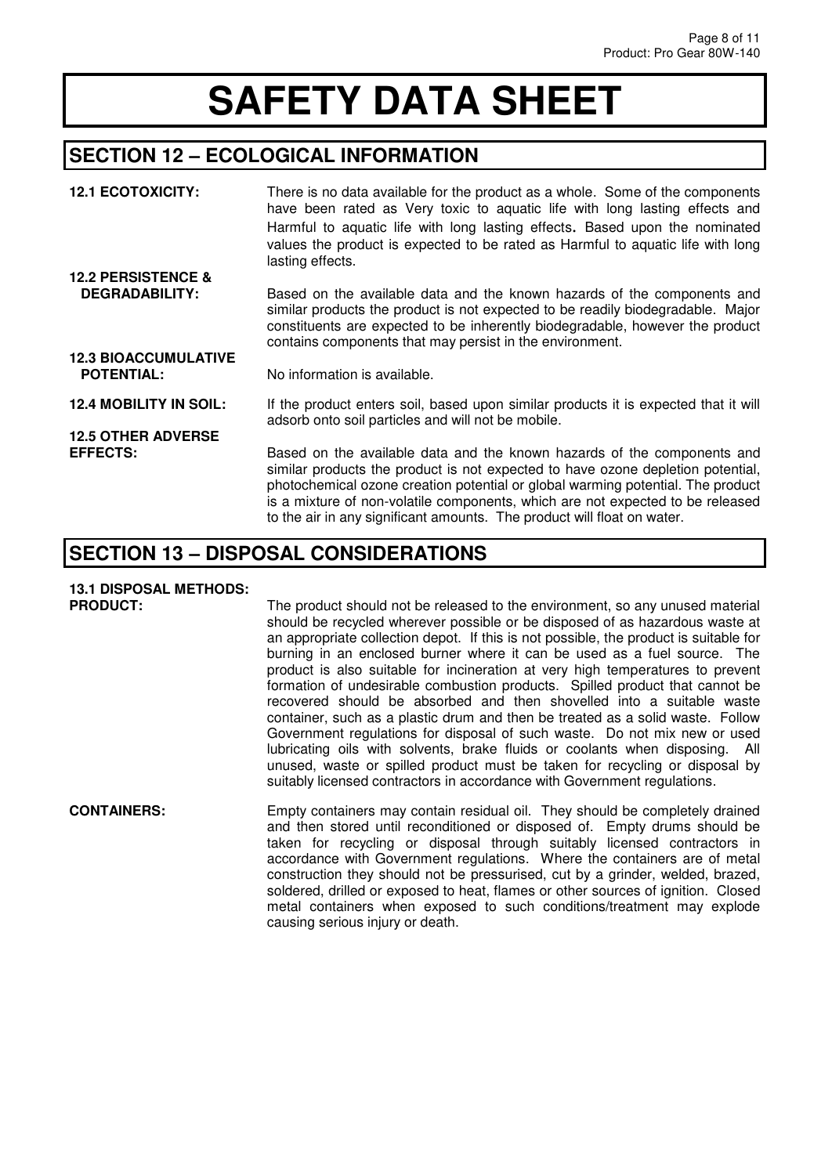### **SECTION 12 – ECOLOGICAL INFORMATION**

| <b>12.1 ECOTOXICITY:</b>      | There is no data available for the product as a whole. Some of the components<br>have been rated as Very toxic to aquatic life with long lasting effects and<br>Harmful to aquatic life with long lasting effects. Based upon the nominated<br>values the product is expected to be rated as Harmful to aquatic life with long<br>lasting effects.                                                         |
|-------------------------------|------------------------------------------------------------------------------------------------------------------------------------------------------------------------------------------------------------------------------------------------------------------------------------------------------------------------------------------------------------------------------------------------------------|
| <b>12.2 PERSISTENCE &amp;</b> |                                                                                                                                                                                                                                                                                                                                                                                                            |
| <b>DEGRADABILITY:</b>         | Based on the available data and the known hazards of the components and<br>similar products the product is not expected to be readily biodegradable. Major<br>constituents are expected to be inherently biodegradable, however the product<br>contains components that may persist in the environment.                                                                                                    |
| <b>12.3 BIOACCUMULATIVE</b>   |                                                                                                                                                                                                                                                                                                                                                                                                            |
| <b>POTENTIAL:</b>             | No information is available.                                                                                                                                                                                                                                                                                                                                                                               |
| <b>12.4 MOBILITY IN SOIL:</b> | If the product enters soil, based upon similar products it is expected that it will<br>adsorb onto soil particles and will not be mobile.                                                                                                                                                                                                                                                                  |
| <b>12.5 OTHER ADVERSE</b>     |                                                                                                                                                                                                                                                                                                                                                                                                            |
| <b>EFFECTS:</b>               | Based on the available data and the known hazards of the components and<br>similar products the product is not expected to have ozone depletion potential,<br>photochemical ozone creation potential or global warming potential. The product<br>is a mixture of non-volatile components, which are not expected to be released<br>to the air in any significant amounts. The product will float on water. |

### **SECTION 13 – DISPOSAL CONSIDERATIONS**

# **13.1 DISPOSAL METHODS:**

The product should not be released to the environment, so any unused material should be recycled wherever possible or be disposed of as hazardous waste at an appropriate collection depot. If this is not possible, the product is suitable for burning in an enclosed burner where it can be used as a fuel source. The product is also suitable for incineration at very high temperatures to prevent formation of undesirable combustion products. Spilled product that cannot be recovered should be absorbed and then shovelled into a suitable waste container, such as a plastic drum and then be treated as a solid waste. Follow Government regulations for disposal of such waste. Do not mix new or used lubricating oils with solvents, brake fluids or coolants when disposing. All unused, waste or spilled product must be taken for recycling or disposal by suitably licensed contractors in accordance with Government regulations.

**CONTAINERS:** Empty containers may contain residual oil. They should be completely drained and then stored until reconditioned or disposed of. Empty drums should be taken for recycling or disposal through suitably licensed contractors in accordance with Government regulations. Where the containers are of metal construction they should not be pressurised, cut by a grinder, welded, brazed, soldered, drilled or exposed to heat, flames or other sources of ignition. Closed metal containers when exposed to such conditions/treatment may explode causing serious injury or death.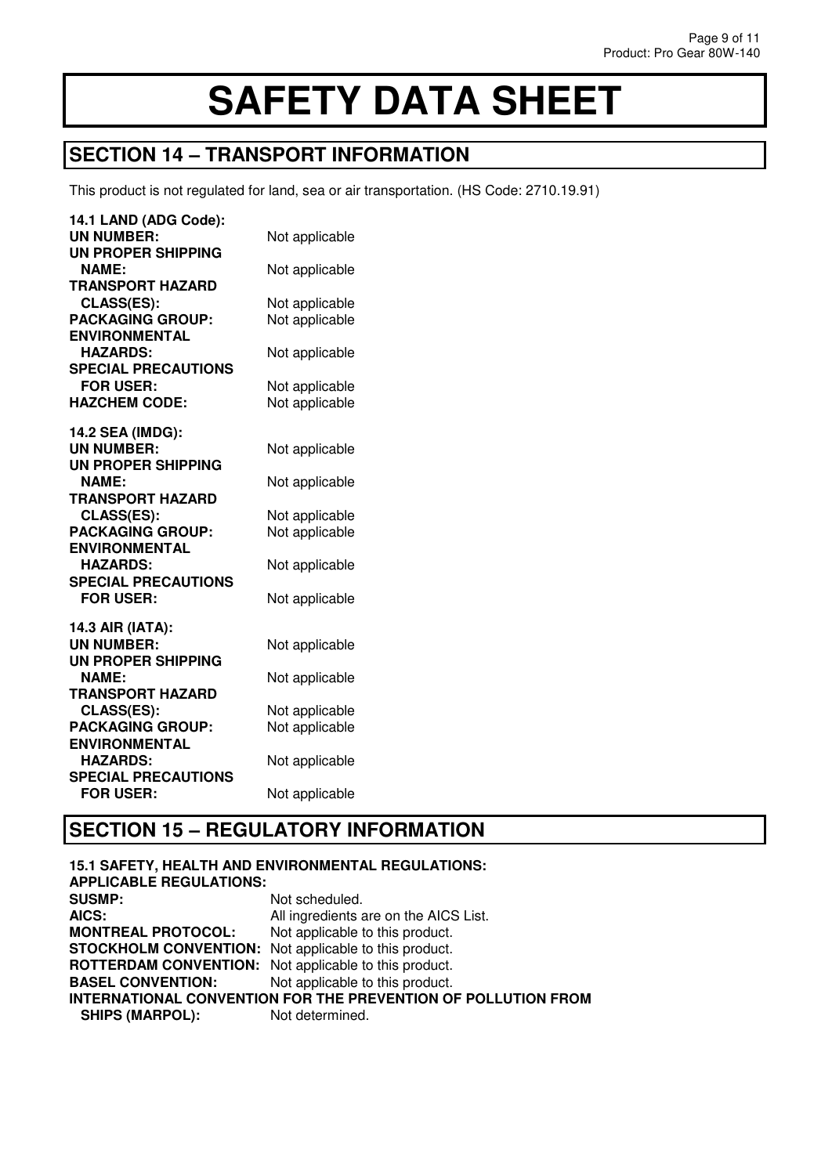### **SECTION 14 – TRANSPORT INFORMATION**

This product is not regulated for land, sea or air transportation. (HS Code: 2710.19.91)

| 14.1 LAND (ADG Code):      |                |
|----------------------------|----------------|
| <b>UN NUMBER:</b>          | Not applicable |
| <b>UN PROPER SHIPPING</b>  |                |
| <b>NAME:</b>               | Not applicable |
| <b>TRANSPORT HAZARD</b>    |                |
| CLASS(ES):                 | Not applicable |
| <b>PACKAGING GROUP:</b>    | Not applicable |
| <b>ENVIRONMENTAL</b>       |                |
| <b>HAZARDS:</b>            | Not applicable |
| <b>SPECIAL PRECAUTIONS</b> |                |
| <b>FOR USER:</b>           | Not applicable |
| <b>HAZCHEM CODE:</b>       | Not applicable |
|                            |                |
| 14.2 SEA (IMDG):           |                |
| <b>UN NUMBER:</b>          | Not applicable |
| <b>UN PROPER SHIPPING</b>  |                |
| <b>NAME:</b>               | Not applicable |
| <b>TRANSPORT HAZARD</b>    |                |
| CLASS(ES):                 | Not applicable |
| <b>PACKAGING GROUP:</b>    | Not applicable |
| <b>ENVIRONMENTAL</b>       |                |
| <b>HAZARDS:</b>            | Not applicable |
| <b>SPECIAL PRECAUTIONS</b> |                |
| <b>FOR USER:</b>           | Not applicable |
| 14.3 AIR (IATA):           |                |
| <b>UN NUMBER:</b>          | Not applicable |
| UN PROPER SHIPPING         |                |
| <b>NAME:</b>               | Not applicable |
| <b>TRANSPORT HAZARD</b>    |                |
| CLASS(ES):                 | Not applicable |
| <b>PACKAGING GROUP:</b>    | Not applicable |
| <b>ENVIRONMENTAL</b>       |                |
| <b>HAZARDS:</b>            | Not applicable |
| <b>SPECIAL PRECAUTIONS</b> |                |
| <b>FOR USER:</b>           | Not applicable |
|                            |                |

### **SECTION 15 – REGULATORY INFORMATION**

**15.1 SAFETY, HEALTH AND ENVIRONMENTAL REGULATIONS: APPLICABLE REGULATIONS: SUSMP:** Not scheduled.<br> **AICS:** All ingredients and All ingredients are on the AICS List. **MONTREAL PROTOCOL:** Not applicable to this product. **STOCKHOLM CONVENTION:** Not applicable to this product. **ROTTERDAM CONVENTION:** Not applicable to this product. **BASEL CONVENTION:** Not applicable to this product. **INTERNATIONAL CONVENTION FOR THE PREVENTION OF POLLUTION FROM SHIPS (MARPOL):** Not determined. **SHIPS (MARPOL):**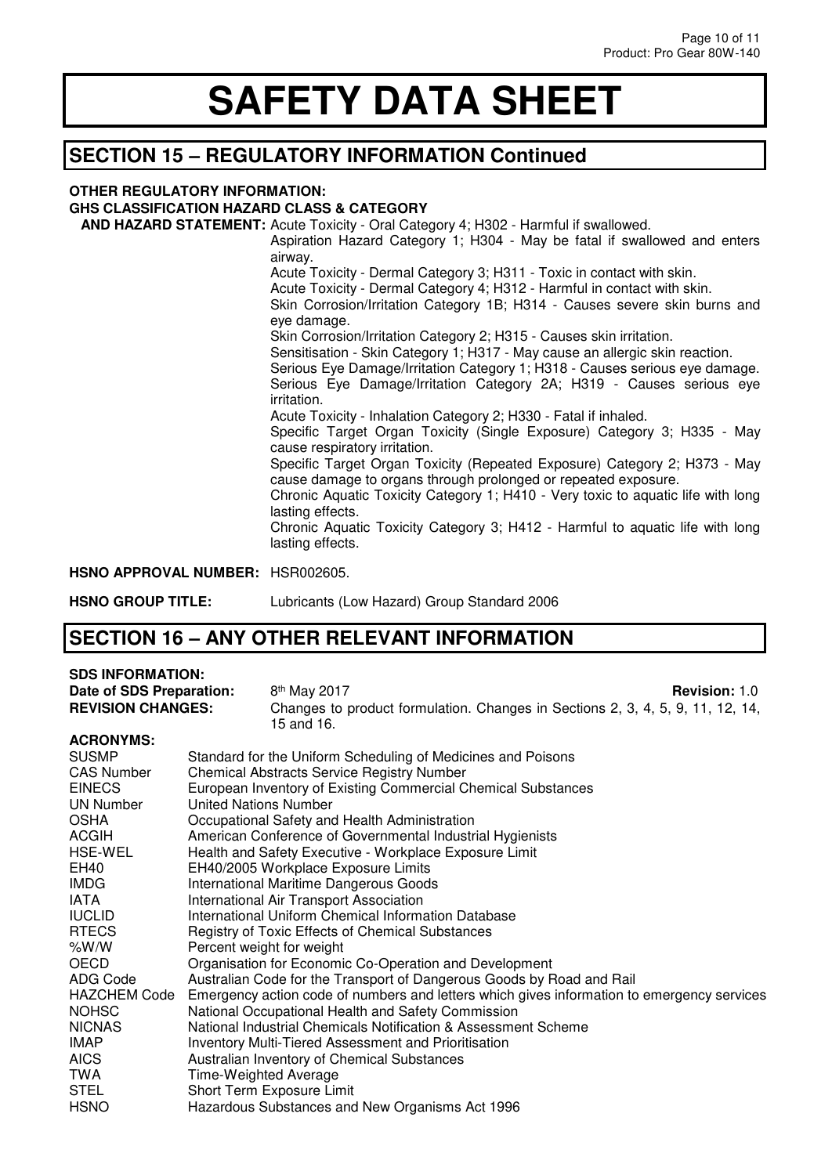## **SECTION 15 – REGULATORY INFORMATION Continued**

#### **OTHER REGULATORY INFORMATION:**

#### **GHS CLASSIFICATION HAZARD CLASS & CATEGORY**

 **AND HAZARD STATEMENT:** Acute Toxicity - Oral Category 4; H302 - Harmful if swallowed. Aspiration Hazard Category 1; H304 - May be fatal if swallowed and enters airway. Acute Toxicity - Dermal Category 3; H311 - Toxic in contact with skin. Acute Toxicity - Dermal Category 4; H312 - Harmful in contact with skin. Skin Corrosion/Irritation Category 1B; H314 - Causes severe skin burns and eye damage. Skin Corrosion/Irritation Category 2; H315 - Causes skin irritation. Sensitisation - Skin Category 1; H317 - May cause an allergic skin reaction. Serious Eye Damage/Irritation Category 1; H318 - Causes serious eye damage. Serious Eye Damage/Irritation Category 2A; H319 - Causes serious eye irritation. Acute Toxicity - Inhalation Category 2; H330 - Fatal if inhaled. Specific Target Organ Toxicity (Single Exposure) Category 3; H335 - May cause respiratory irritation. Specific Target Organ Toxicity (Repeated Exposure) Category 2; H373 - May cause damage to organs through prolonged or repeated exposure. Chronic Aquatic Toxicity Category 1; H410 - Very toxic to aquatic life with long lasting effects. Chronic Aquatic Toxicity Category 3; H412 - Harmful to aquatic life with long lasting effects. **HSNO APPROVAL NUMBER:** HSR002605.

**HSNO GROUP TITLE:** Lubricants (Low Hazard) Group Standard 2006

### **SECTION 16 – ANY OTHER RELEVANT INFORMATION**

#### **SDS INFORMATION:**

**Date of SDS Preparation:** 8<sup>th</sup> May 2017<br>**REVISION CHANGES:** Changes to i **Revision: 1.0** Changes to product formulation. Changes in Sections 2, 3, 4, 5, 9, 11, 12, 14, 15 and 16. **ACRONYMS:**  SUSMP Standard for the Uniform Scheduling of Medicines and Poisons<br>CAS Number Chemical Abstracts Service Begistry Number Chemical Abstracts Service Registry Number

| <b>EINECS</b>       | European Inventory of Existing Commercial Chemical Substances                              |
|---------------------|--------------------------------------------------------------------------------------------|
| <b>UN Number</b>    | United Nations Number                                                                      |
| <b>OSHA</b>         | Occupational Safety and Health Administration                                              |
| ACGIH               | American Conference of Governmental Industrial Hygienists                                  |
| HSE-WEL             | Health and Safety Executive - Workplace Exposure Limit                                     |
| EH40                | EH40/2005 Workplace Exposure Limits                                                        |
| <b>IMDG</b>         | International Maritime Dangerous Goods                                                     |
| IATA                | International Air Transport Association                                                    |
| <b>IUCLID</b>       | International Uniform Chemical Information Database                                        |
| <b>RTECS</b>        | Registry of Toxic Effects of Chemical Substances                                           |
| % $W/W$             | Percent weight for weight                                                                  |
| <b>OECD</b>         | Organisation for Economic Co-Operation and Development                                     |
| ADG Code            | Australian Code for the Transport of Dangerous Goods by Road and Rail                      |
| <b>HAZCHEM Code</b> | Emergency action code of numbers and letters which gives information to emergency services |
| <b>NOHSC</b>        | National Occupational Health and Safety Commission                                         |
| <b>NICNAS</b>       | National Industrial Chemicals Notification & Assessment Scheme                             |
| <b>IMAP</b>         | <b>Inventory Multi-Tiered Assessment and Prioritisation</b>                                |
| <b>AICS</b>         | Australian Inventory of Chemical Substances                                                |
| TWA                 | Time-Weighted Average                                                                      |
| <b>STEL</b>         | Short Term Exposure Limit                                                                  |
| <b>HSNO</b>         | Hazardous Substances and New Organisms Act 1996                                            |